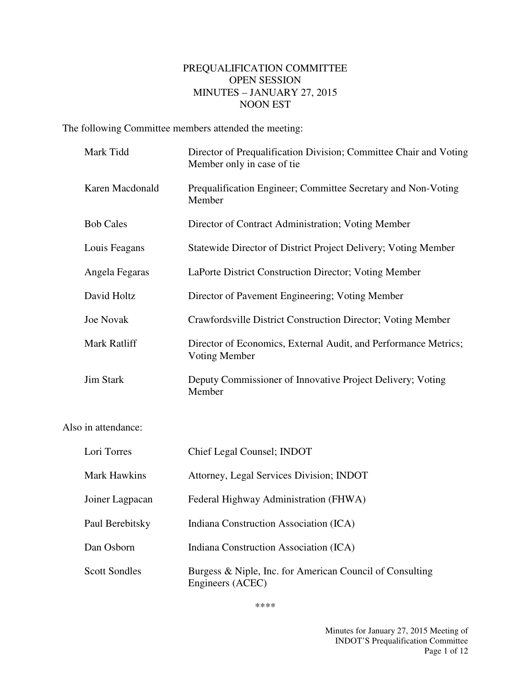## PREQUALIFICATION COMMITTEE OPEN SESSION MINUTES – JANUARY 27, 2015 NOON EST

The following Committee members attended the meeting:

|                     | Mark Tidd           | Director of Prequalification Division; Committee Chair and Voting<br>Member only in case of tie |
|---------------------|---------------------|-------------------------------------------------------------------------------------------------|
|                     | Karen Macdonald     | Prequalification Engineer; Committee Secretary and Non-Voting<br>Member                         |
|                     | <b>Bob Cales</b>    | Director of Contract Administration; Voting Member                                              |
|                     | Louis Feagans       | Statewide Director of District Project Delivery; Voting Member                                  |
|                     | Angela Fegaras      | LaPorte District Construction Director; Voting Member                                           |
|                     | David Holtz         | Director of Pavement Engineering; Voting Member                                                 |
|                     | <b>Joe Novak</b>    | Crawfordsville District Construction Director; Voting Member                                    |
|                     | Mark Ratliff        | Director of Economics, External Audit, and Performance Metrics;<br>Voting Member                |
|                     | <b>Jim Stark</b>    | Deputy Commissioner of Innovative Project Delivery; Voting<br>Member                            |
| Also in attendance: |                     |                                                                                                 |
|                     | Lori Torres         | Chief Legal Counsel; INDOT                                                                      |
|                     | <b>Mark Hawkins</b> | Attorney, Legal Services Division; INDOT                                                        |

Joiner Lagpacan Federal Highway Administration (FHWA)

Paul Berebitsky Indiana Construction Association (ICA)

Dan Osborn Indiana Construction Association (ICA)

Scott Sondles Burgess & Niple, Inc. for American Council of Consulting Engineers (ACEC)

\*\*\*\*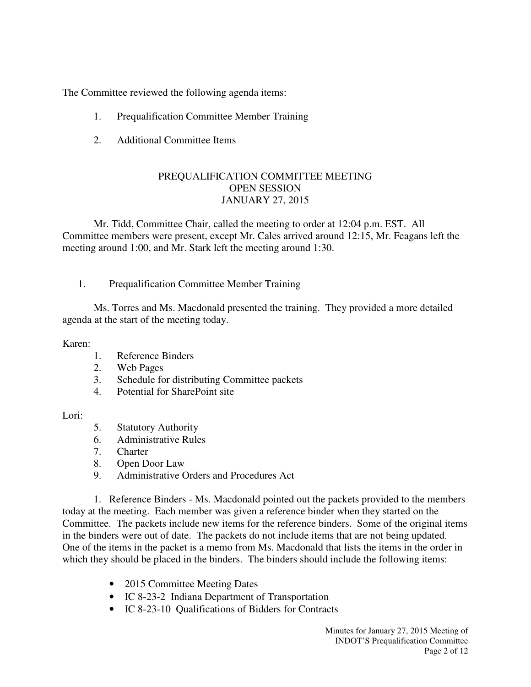The Committee reviewed the following agenda items:

- 1. Prequalification Committee Member Training
- 2. Additional Committee Items

# PREQUALIFICATION COMMITTEE MEETING OPEN SESSION JANUARY 27, 2015

Mr. Tidd, Committee Chair, called the meeting to order at 12:04 p.m. EST. All Committee members were present, except Mr. Cales arrived around 12:15, Mr. Feagans left the meeting around 1:00, and Mr. Stark left the meeting around 1:30.

1. Prequalification Committee Member Training

Ms. Torres and Ms. Macdonald presented the training. They provided a more detailed agenda at the start of the meeting today.

## Karen:

- 1. Reference Binders
- 2. Web Pages
- 3. Schedule for distributing Committee packets
- 4. Potential for SharePoint site

## Lori:

- 5. Statutory Authority
- 6. Administrative Rules
- 7. Charter
- 8. Open Door Law
- 9. Administrative Orders and Procedures Act

1. Reference Binders - Ms. Macdonald pointed out the packets provided to the members today at the meeting. Each member was given a reference binder when they started on the Committee. The packets include new items for the reference binders. Some of the original items in the binders were out of date. The packets do not include items that are not being updated. One of the items in the packet is a memo from Ms. Macdonald that lists the items in the order in which they should be placed in the binders. The binders should include the following items:

- 2015 Committee Meeting Dates
- IC 8-23-2 Indiana Department of Transportation
- IC 8-23-10 Qualifications of Bidders for Contracts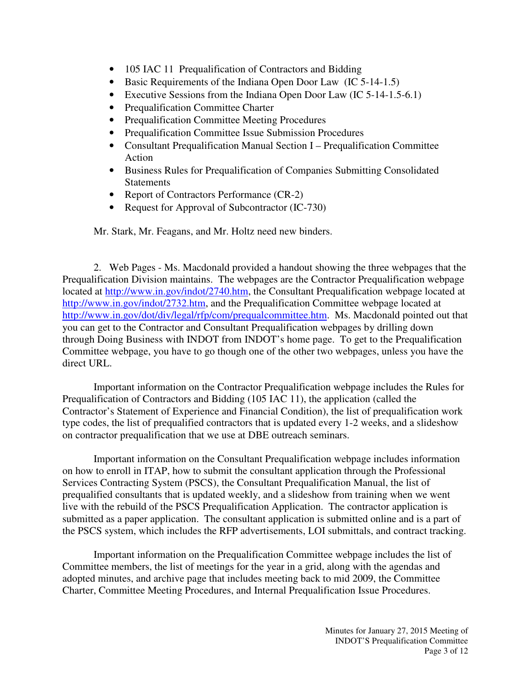- 105 IAC 11 Prequalification of Contractors and Bidding
- Basic Requirements of the Indiana Open Door Law (IC 5-14-1.5)
- Executive Sessions from the Indiana Open Door Law (IC 5-14-1.5-6.1)
- Prequalification Committee Charter
- Prequalification Committee Meeting Procedures
- Prequalification Committee Issue Submission Procedures
- Consultant Prequalification Manual Section I Prequalification Committee Action
- Business Rules for Prequalification of Companies Submitting Consolidated **Statements**
- Report of Contractors Performance (CR-2)
- Request for Approval of Subcontractor (IC-730)

Mr. Stark, Mr. Feagans, and Mr. Holtz need new binders.

2. Web Pages - Ms. Macdonald provided a handout showing the three webpages that the Prequalification Division maintains. The webpages are the Contractor Prequalification webpage located at http://www.in.gov/indot/2740.htm, the Consultant Prequalification webpage located at http://www.in.gov/indot/2732.htm, and the Prequalification Committee webpage located at http://www.in.gov/dot/div/legal/rfp/com/prequalcommittee.htm. Ms. Macdonald pointed out that you can get to the Contractor and Consultant Prequalification webpages by drilling down through Doing Business with INDOT from INDOT's home page. To get to the Prequalification Committee webpage, you have to go though one of the other two webpages, unless you have the direct URL.

Important information on the Contractor Prequalification webpage includes the Rules for Prequalification of Contractors and Bidding (105 IAC 11), the application (called the Contractor's Statement of Experience and Financial Condition), the list of prequalification work type codes, the list of prequalified contractors that is updated every 1-2 weeks, and a slideshow on contractor prequalification that we use at DBE outreach seminars.

Important information on the Consultant Prequalification webpage includes information on how to enroll in ITAP, how to submit the consultant application through the Professional Services Contracting System (PSCS), the Consultant Prequalification Manual, the list of prequalified consultants that is updated weekly, and a slideshow from training when we went live with the rebuild of the PSCS Prequalification Application. The contractor application is submitted as a paper application. The consultant application is submitted online and is a part of the PSCS system, which includes the RFP advertisements, LOI submittals, and contract tracking.

Important information on the Prequalification Committee webpage includes the list of Committee members, the list of meetings for the year in a grid, along with the agendas and adopted minutes, and archive page that includes meeting back to mid 2009, the Committee Charter, Committee Meeting Procedures, and Internal Prequalification Issue Procedures.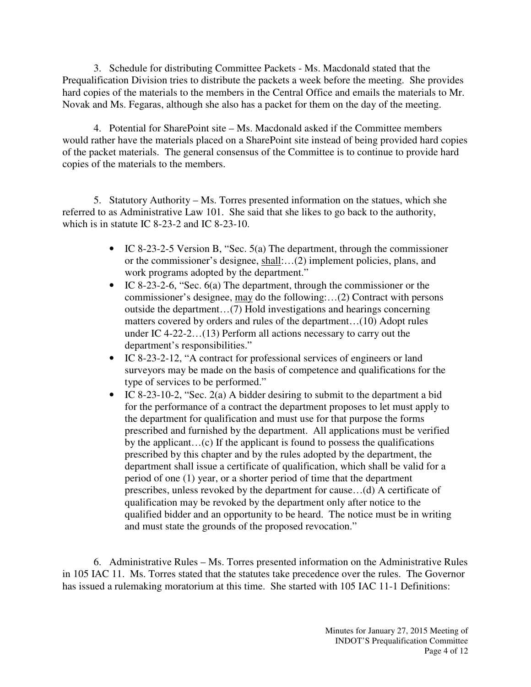3. Schedule for distributing Committee Packets - Ms. Macdonald stated that the Prequalification Division tries to distribute the packets a week before the meeting. She provides hard copies of the materials to the members in the Central Office and emails the materials to Mr. Novak and Ms. Fegaras, although she also has a packet for them on the day of the meeting.

4. Potential for SharePoint site – Ms. Macdonald asked if the Committee members would rather have the materials placed on a SharePoint site instead of being provided hard copies of the packet materials. The general consensus of the Committee is to continue to provide hard copies of the materials to the members.

5. Statutory Authority – Ms. Torres presented information on the statues, which she referred to as Administrative Law 101. She said that she likes to go back to the authority, which is in statute IC 8-23-2 and IC 8-23-10.

- IC 8-23-2-5 Version B, "Sec. 5(a) The department, through the commissioner or the commissioner's designee, shall:…(2) implement policies, plans, and work programs adopted by the department."
- IC 8-23-2-6, "Sec. 6(a) The department, through the commissioner or the commissioner's designee, may do the following:…(2) Contract with persons outside the department…(7) Hold investigations and hearings concerning matters covered by orders and rules of the department…(10) Adopt rules under IC 4-22-2…(13) Perform all actions necessary to carry out the department's responsibilities."
- IC 8-23-2-12, "A contract for professional services of engineers or land surveyors may be made on the basis of competence and qualifications for the type of services to be performed."
- IC 8-23-10-2, "Sec. 2(a) A bidder desiring to submit to the department a bid for the performance of a contract the department proposes to let must apply to the department for qualification and must use for that purpose the forms prescribed and furnished by the department. All applications must be verified by the applicant…(c) If the applicant is found to possess the qualifications prescribed by this chapter and by the rules adopted by the department, the department shall issue a certificate of qualification, which shall be valid for a period of one (1) year, or a shorter period of time that the department prescribes, unless revoked by the department for cause…(d) A certificate of qualification may be revoked by the department only after notice to the qualified bidder and an opportunity to be heard. The notice must be in writing and must state the grounds of the proposed revocation."

6. Administrative Rules – Ms. Torres presented information on the Administrative Rules in 105 IAC 11. Ms. Torres stated that the statutes take precedence over the rules. The Governor has issued a rulemaking moratorium at this time. She started with 105 IAC 11-1 Definitions: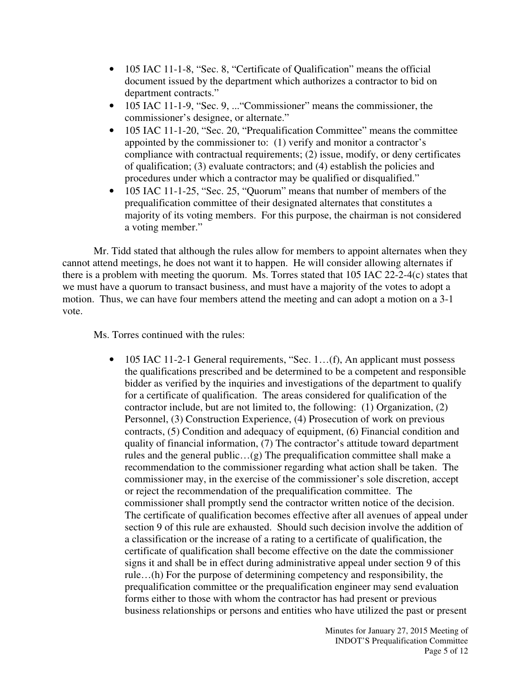- 105 IAC 11-1-8, "Sec. 8, "Certificate of Qualification" means the official document issued by the department which authorizes a contractor to bid on department contracts."
- 105 IAC 11-1-9, "Sec. 9, ... "Commissioner" means the commissioner, the commissioner's designee, or alternate."
- 105 IAC 11-1-20, "Sec. 20, "Prequalification Committee" means the committee appointed by the commissioner to: (1) verify and monitor a contractor's compliance with contractual requirements; (2) issue, modify, or deny certificates of qualification; (3) evaluate contractors; and (4) establish the policies and procedures under which a contractor may be qualified or disqualified."
- 105 IAC 11-1-25, "Sec. 25, "Quorum" means that number of members of the prequalification committee of their designated alternates that constitutes a majority of its voting members. For this purpose, the chairman is not considered a voting member."

Mr. Tidd stated that although the rules allow for members to appoint alternates when they cannot attend meetings, he does not want it to happen. He will consider allowing alternates if there is a problem with meeting the quorum. Ms. Torres stated that 105 IAC 22-2-4(c) states that we must have a quorum to transact business, and must have a majority of the votes to adopt a motion. Thus, we can have four members attend the meeting and can adopt a motion on a 3-1 vote.

Ms. Torres continued with the rules:

• 105 IAC 11-2-1 General requirements, "Sec. 1...(f), An applicant must possess the qualifications prescribed and be determined to be a competent and responsible bidder as verified by the inquiries and investigations of the department to qualify for a certificate of qualification. The areas considered for qualification of the contractor include, but are not limited to, the following: (1) Organization, (2) Personnel, (3) Construction Experience, (4) Prosecution of work on previous contracts, (5) Condition and adequacy of equipment, (6) Financial condition and quality of financial information, (7) The contractor's attitude toward department rules and the general public…(g) The prequalification committee shall make a recommendation to the commissioner regarding what action shall be taken. The commissioner may, in the exercise of the commissioner's sole discretion, accept or reject the recommendation of the prequalification committee. The commissioner shall promptly send the contractor written notice of the decision. The certificate of qualification becomes effective after all avenues of appeal under section 9 of this rule are exhausted. Should such decision involve the addition of a classification or the increase of a rating to a certificate of qualification, the certificate of qualification shall become effective on the date the commissioner signs it and shall be in effect during administrative appeal under section 9 of this rule…(h) For the purpose of determining competency and responsibility, the prequalification committee or the prequalification engineer may send evaluation forms either to those with whom the contractor has had present or previous business relationships or persons and entities who have utilized the past or present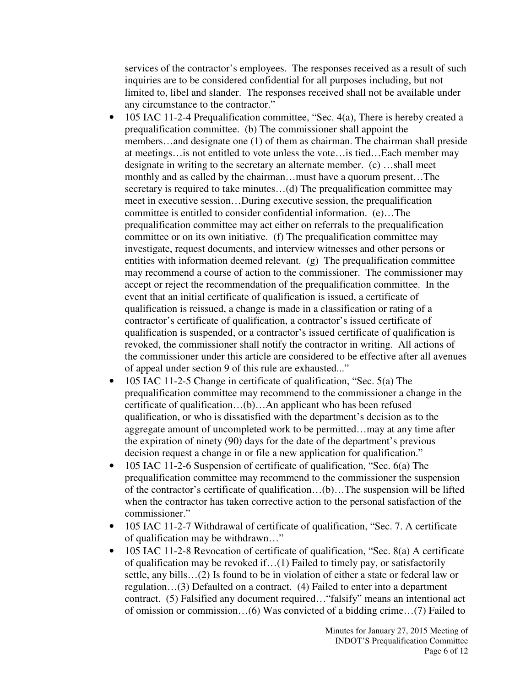services of the contractor's employees. The responses received as a result of such inquiries are to be considered confidential for all purposes including, but not limited to, libel and slander. The responses received shall not be available under any circumstance to the contractor."

- 105 IAC 11-2-4 Prequalification committee, "Sec. 4(a), There is hereby created a prequalification committee. (b) The commissioner shall appoint the members…and designate one (1) of them as chairman. The chairman shall preside at meetings…is not entitled to vote unless the vote…is tied…Each member may designate in writing to the secretary an alternate member. (c) …shall meet monthly and as called by the chairman…must have a quorum present…The secretary is required to take minutes...(d) The prequalification committee may meet in executive session…During executive session, the prequalification committee is entitled to consider confidential information. (e)…The prequalification committee may act either on referrals to the prequalification committee or on its own initiative. (f) The prequalification committee may investigate, request documents, and interview witnesses and other persons or entities with information deemed relevant. (g) The prequalification committee may recommend a course of action to the commissioner. The commissioner may accept or reject the recommendation of the prequalification committee. In the event that an initial certificate of qualification is issued, a certificate of qualification is reissued, a change is made in a classification or rating of a contractor's certificate of qualification, a contractor's issued certificate of qualification is suspended, or a contractor's issued certificate of qualification is revoked, the commissioner shall notify the contractor in writing. All actions of the commissioner under this article are considered to be effective after all avenues of appeal under section 9 of this rule are exhausted..."
- 105 IAC 11-2-5 Change in certificate of qualification, "Sec. 5(a) The prequalification committee may recommend to the commissioner a change in the certificate of qualification…(b)…An applicant who has been refused qualification, or who is dissatisfied with the department's decision as to the aggregate amount of uncompleted work to be permitted…may at any time after the expiration of ninety (90) days for the date of the department's previous decision request a change in or file a new application for qualification."
- 105 IAC 11-2-6 Suspension of certificate of qualification, "Sec. 6(a) The prequalification committee may recommend to the commissioner the suspension of the contractor's certificate of qualification…(b)…The suspension will be lifted when the contractor has taken corrective action to the personal satisfaction of the commissioner."
- 105 IAC 11-2-7 Withdrawal of certificate of qualification, "Sec. 7. A certificate of qualification may be withdrawn…"
- 105 IAC 11-2-8 Revocation of certificate of qualification, "Sec. 8(a) A certificate of qualification may be revoked if…(1) Failed to timely pay, or satisfactorily settle, any bills…(2) Is found to be in violation of either a state or federal law or regulation…(3) Defaulted on a contract. (4) Failed to enter into a department contract. (5) Falsified any document required…"falsify" means an intentional act of omission or commission…(6) Was convicted of a bidding crime…(7) Failed to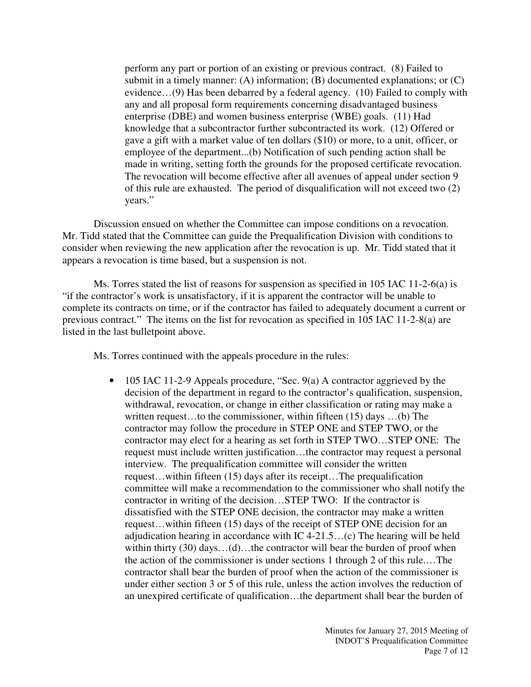perform any part or portion of an existing or previous contract. (8) Failed to submit in a timely manner: (A) information; (B) documented explanations; or (C) evidence…(9) Has been debarred by a federal agency. (10) Failed to comply with any and all proposal form requirements concerning disadvantaged business enterprise (DBE) and women business enterprise (WBE) goals. (11) Had knowledge that a subcontractor further subcontracted its work. (12) Offered or gave a gift with a market value of ten dollars (\$10) or more, to a unit, officer, or employee of the department...(b) Notification of such pending action shall be made in writing, setting forth the grounds for the proposed certificate revocation. The revocation will become effective after all avenues of appeal under section 9 of this rule are exhausted. The period of disqualification will not exceed two (2) years."

Discussion ensued on whether the Committee can impose conditions on a revocation. Mr. Tidd stated that the Committee can guide the Prequalification Division with conditions to consider when reviewing the new application after the revocation is up. Mr. Tidd stated that it appears a revocation is time based, but a suspension is not.

Ms. Torres stated the list of reasons for suspension as specified in 105 IAC 11-2-6(a) is "if the contractor's work is unsatisfactory, if it is apparent the contractor will be unable to complete its contracts on time, or if the contractor has failed to adequately document a current or previous contract." The items on the list for revocation as specified in 105 IAC 11-2-8(a) are listed in the last bulletpoint above.

Ms. Torres continued with the appeals procedure in the rules:

• 105 IAC 11-2-9 Appeals procedure, "Sec. 9(a) A contractor aggrieved by the decision of the department in regard to the contractor's qualification, suspension, withdrawal, revocation, or change in either classification or rating may make a written request…to the commissioner, within fifteen (15) days …(b) The contractor may follow the procedure in STEP ONE and STEP TWO, or the contractor may elect for a hearing as set forth in STEP TWO…STEP ONE: The request must include written justification…the contractor may request a personal interview. The prequalification committee will consider the written request…within fifteen (15) days after its receipt…The prequalification committee will make a recommendation to the commissioner who shall notify the contractor in writing of the decision…STEP TWO: If the contractor is dissatisfied with the STEP ONE decision, the contractor may make a written request…within fifteen (15) days of the receipt of STEP ONE decision for an adjudication hearing in accordance with IC 4-21.5…(c) The hearing will be held within thirty (30) days...(d)...the contractor will bear the burden of proof when the action of the commissioner is under sections 1 through 2 of this rule.…The contractor shall bear the burden of proof when the action of the commissioner is under either section 3 or 5 of this rule, unless the action involves the reduction of an unexpired certificate of qualification…the department shall bear the burden of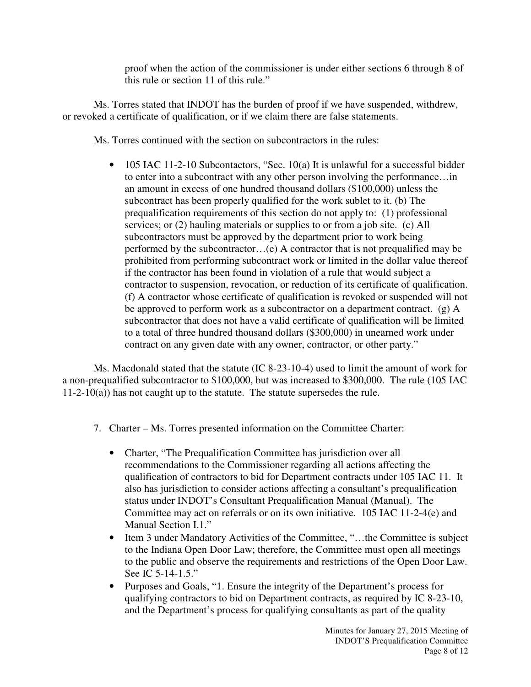proof when the action of the commissioner is under either sections 6 through 8 of this rule or section 11 of this rule."

Ms. Torres stated that INDOT has the burden of proof if we have suspended, withdrew, or revoked a certificate of qualification, or if we claim there are false statements.

Ms. Torres continued with the section on subcontractors in the rules:

• 105 IAC 11-2-10 Subcontactors, "Sec. 10(a) It is unlawful for a successful bidder to enter into a subcontract with any other person involving the performance…in an amount in excess of one hundred thousand dollars (\$100,000) unless the subcontract has been properly qualified for the work sublet to it. (b) The prequalification requirements of this section do not apply to: (1) professional services; or (2) hauling materials or supplies to or from a job site. (c) All subcontractors must be approved by the department prior to work being performed by the subcontractor…(e) A contractor that is not prequalified may be prohibited from performing subcontract work or limited in the dollar value thereof if the contractor has been found in violation of a rule that would subject a contractor to suspension, revocation, or reduction of its certificate of qualification. (f) A contractor whose certificate of qualification is revoked or suspended will not be approved to perform work as a subcontractor on a department contract. (g) A subcontractor that does not have a valid certificate of qualification will be limited to a total of three hundred thousand dollars (\$300,000) in unearned work under contract on any given date with any owner, contractor, or other party."

Ms. Macdonald stated that the statute (IC 8-23-10-4) used to limit the amount of work for a non-prequalified subcontractor to \$100,000, but was increased to \$300,000. The rule (105 IAC  $11-2-10(a)$ ) has not caught up to the statute. The statute supersedes the rule.

- 7. Charter Ms. Torres presented information on the Committee Charter:
	- Charter, "The Prequalification Committee has jurisdiction over all recommendations to the Commissioner regarding all actions affecting the qualification of contractors to bid for Department contracts under 105 IAC 11. It also has jurisdiction to consider actions affecting a consultant's prequalification status under INDOT's Consultant Prequalification Manual (Manual). The Committee may act on referrals or on its own initiative. 105 IAC 11-2-4(e) and Manual Section I.1."
	- Item 3 under Mandatory Activities of the Committee, "...the Committee is subject to the Indiana Open Door Law; therefore, the Committee must open all meetings to the public and observe the requirements and restrictions of the Open Door Law. See IC 5-14-1.5."
	- Purposes and Goals, "1. Ensure the integrity of the Department's process for qualifying contractors to bid on Department contracts, as required by IC 8-23-10, and the Department's process for qualifying consultants as part of the quality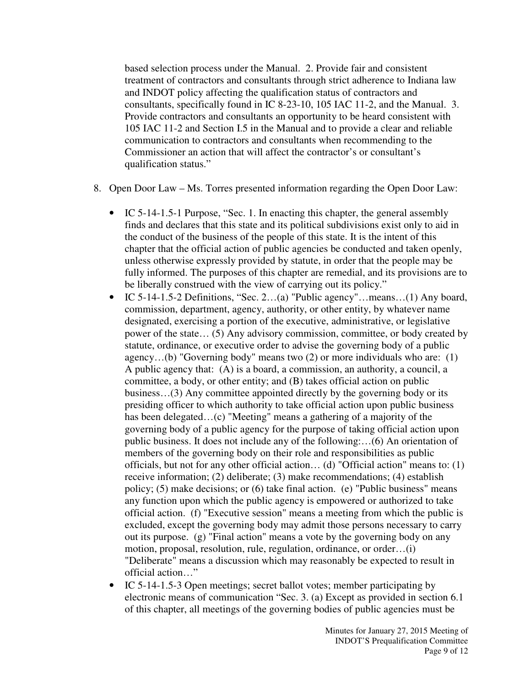based selection process under the Manual. 2. Provide fair and consistent treatment of contractors and consultants through strict adherence to Indiana law and INDOT policy affecting the qualification status of contractors and consultants, specifically found in IC 8-23-10, 105 IAC 11-2, and the Manual. 3. Provide contractors and consultants an opportunity to be heard consistent with 105 IAC 11-2 and Section I.5 in the Manual and to provide a clear and reliable communication to contractors and consultants when recommending to the Commissioner an action that will affect the contractor's or consultant's qualification status."

- 8. Open Door Law Ms. Torres presented information regarding the Open Door Law:
	- IC 5-14-1.5-1 Purpose, "Sec. 1. In enacting this chapter, the general assembly finds and declares that this state and its political subdivisions exist only to aid in the conduct of the business of the people of this state. It is the intent of this chapter that the official action of public agencies be conducted and taken openly, unless otherwise expressly provided by statute, in order that the people may be fully informed. The purposes of this chapter are remedial, and its provisions are to be liberally construed with the view of carrying out its policy."
	- IC 5-14-1.5-2 Definitions, "Sec. 2…(a) "Public agency"…means…(1) Any board, commission, department, agency, authority, or other entity, by whatever name designated, exercising a portion of the executive, administrative, or legislative power of the state… (5) Any advisory commission, committee, or body created by statute, ordinance, or executive order to advise the governing body of a public agency…(b) "Governing body" means two (2) or more individuals who are: (1) A public agency that: (A) is a board, a commission, an authority, a council, a committee, a body, or other entity; and (B) takes official action on public business…(3) Any committee appointed directly by the governing body or its presiding officer to which authority to take official action upon public business has been delegated…(c) "Meeting" means a gathering of a majority of the governing body of a public agency for the purpose of taking official action upon public business. It does not include any of the following:…(6) An orientation of members of the governing body on their role and responsibilities as public officials, but not for any other official action… (d) "Official action" means to: (1) receive information; (2) deliberate; (3) make recommendations; (4) establish policy; (5) make decisions; or (6) take final action. (e) "Public business" means any function upon which the public agency is empowered or authorized to take official action. (f) "Executive session" means a meeting from which the public is excluded, except the governing body may admit those persons necessary to carry out its purpose. (g) "Final action" means a vote by the governing body on any motion, proposal, resolution, rule, regulation, ordinance, or order…(i) "Deliberate" means a discussion which may reasonably be expected to result in official action…"
	- IC 5-14-1.5-3 Open meetings; secret ballot votes; member participating by electronic means of communication "Sec. 3. (a) Except as provided in section 6.1 of this chapter, all meetings of the governing bodies of public agencies must be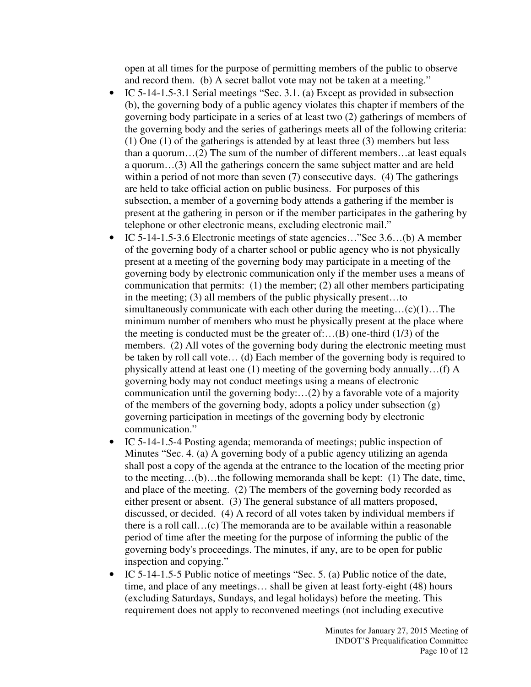open at all times for the purpose of permitting members of the public to observe and record them. (b) A secret ballot vote may not be taken at a meeting."

- IC 5-14-1.5-3.1 Serial meetings "Sec. 3.1. (a) Except as provided in subsection (b), the governing body of a public agency violates this chapter if members of the governing body participate in a series of at least two (2) gatherings of members of the governing body and the series of gatherings meets all of the following criteria: (1) One (1) of the gatherings is attended by at least three (3) members but less than a quorum…(2) The sum of the number of different members…at least equals a quorum…(3) All the gatherings concern the same subject matter and are held within a period of not more than seven (7) consecutive days. (4) The gatherings are held to take official action on public business. For purposes of this subsection, a member of a governing body attends a gathering if the member is present at the gathering in person or if the member participates in the gathering by telephone or other electronic means, excluding electronic mail."
- IC 5-14-1.5-3.6 Electronic meetings of state agencies..."Sec 3.6...(b) A member of the governing body of a charter school or public agency who is not physically present at a meeting of the governing body may participate in a meeting of the governing body by electronic communication only if the member uses a means of communication that permits: (1) the member; (2) all other members participating in the meeting; (3) all members of the public physically present…to simultaneously communicate with each other during the meeting…(c)(1)…The minimum number of members who must be physically present at the place where the meeting is conducted must be the greater of:... $(B)$  one-third (1/3) of the members. (2) All votes of the governing body during the electronic meeting must be taken by roll call vote… (d) Each member of the governing body is required to physically attend at least one (1) meeting of the governing body annually…(f) A governing body may not conduct meetings using a means of electronic communication until the governing body:…(2) by a favorable vote of a majority of the members of the governing body, adopts a policy under subsection (g) governing participation in meetings of the governing body by electronic communication."
- IC 5-14-1.5-4 Posting agenda; memoranda of meetings; public inspection of Minutes "Sec. 4. (a) A governing body of a public agency utilizing an agenda shall post a copy of the agenda at the entrance to the location of the meeting prior to the meeting…(b)…the following memoranda shall be kept: (1) The date, time, and place of the meeting. (2) The members of the governing body recorded as either present or absent. (3) The general substance of all matters proposed, discussed, or decided. (4) A record of all votes taken by individual members if there is a roll call…(c) The memoranda are to be available within a reasonable period of time after the meeting for the purpose of informing the public of the governing body's proceedings. The minutes, if any, are to be open for public inspection and copying."
- IC 5-14-1.5-5 Public notice of meetings "Sec. 5. (a) Public notice of the date, time, and place of any meetings… shall be given at least forty-eight (48) hours (excluding Saturdays, Sundays, and legal holidays) before the meeting. This requirement does not apply to reconvened meetings (not including executive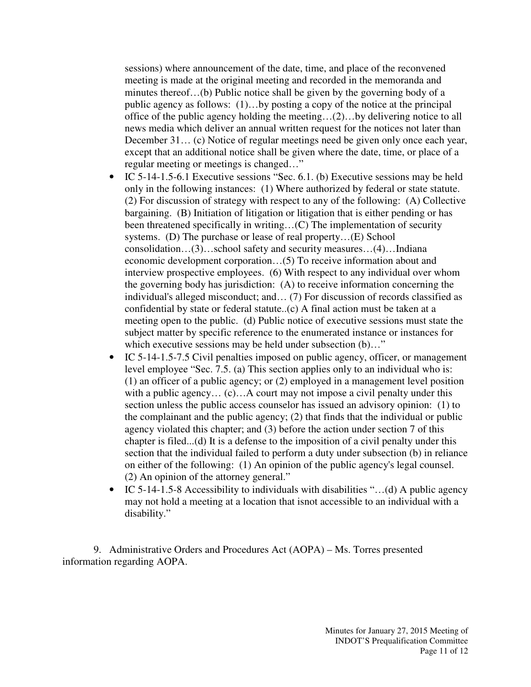sessions) where announcement of the date, time, and place of the reconvened meeting is made at the original meeting and recorded in the memoranda and minutes thereof…(b) Public notice shall be given by the governing body of a public agency as follows: (1)…by posting a copy of the notice at the principal office of the public agency holding the meeting…(2)…by delivering notice to all news media which deliver an annual written request for the notices not later than December 31… (c) Notice of regular meetings need be given only once each year, except that an additional notice shall be given where the date, time, or place of a regular meeting or meetings is changed…"

- IC 5-14-1.5-6.1 Executive sessions "Sec. 6.1. (b) Executive sessions may be held only in the following instances: (1) Where authorized by federal or state statute. (2) For discussion of strategy with respect to any of the following: (A) Collective bargaining. (B) Initiation of litigation or litigation that is either pending or has been threatened specifically in writing…(C) The implementation of security systems. (D) The purchase or lease of real property…(E) School consolidation…(3)…school safety and security measures…(4)…Indiana economic development corporation…(5) To receive information about and interview prospective employees. (6) With respect to any individual over whom the governing body has jurisdiction: (A) to receive information concerning the individual's alleged misconduct; and… (7) For discussion of records classified as confidential by state or federal statute..(c) A final action must be taken at a meeting open to the public. (d) Public notice of executive sessions must state the subject matter by specific reference to the enumerated instance or instances for which executive sessions may be held under subsection (b)..."
- IC 5-14-1.5-7.5 Civil penalties imposed on public agency, officer, or management level employee "Sec. 7.5. (a) This section applies only to an individual who is: (1) an officer of a public agency; or (2) employed in a management level position with a public agency... (c)... A court may not impose a civil penalty under this section unless the public access counselor has issued an advisory opinion: (1) to the complainant and the public agency; (2) that finds that the individual or public agency violated this chapter; and (3) before the action under section 7 of this chapter is filed...(d) It is a defense to the imposition of a civil penalty under this section that the individual failed to perform a duty under subsection (b) in reliance on either of the following: (1) An opinion of the public agency's legal counsel. (2) An opinion of the attorney general."
- IC 5-14-1.5-8 Accessibility to individuals with disabilities "...(d) A public agency may not hold a meeting at a location that isnot accessible to an individual with a disability."

9. Administrative Orders and Procedures Act (AOPA) – Ms. Torres presented information regarding AOPA.